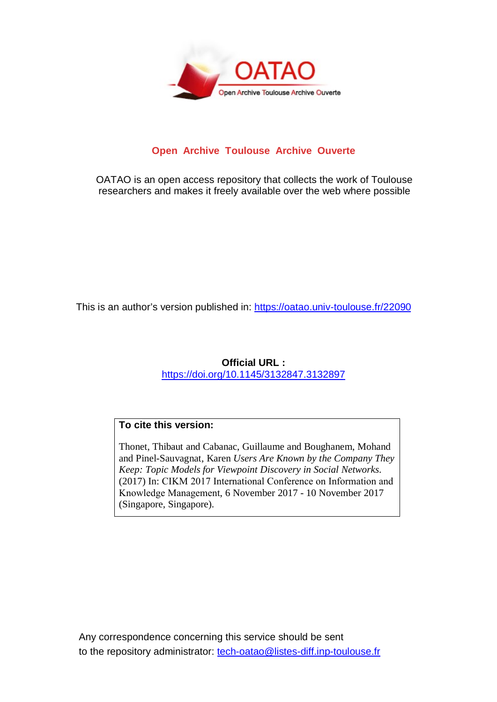

# **Open Archive Toulouse Archive Ouverte**

OATAO is an open access repository that collects the work of Toulouse researchers and makes it freely available over the web where possible

This is an author's version published in:<https://oatao.univ-toulouse.fr/22090>

# **Official URL :**

<https://doi.org/10.1145/3132847.3132897>

# **To cite this version:**

Thonet, Thibaut and Cabanac, Guillaume and Boughanem, Mohand and Pinel-Sauvagnat, Karen *Users Are Known by the Company They Keep: Topic Models for Viewpoint Discovery in Social Networks.* (2017) In: CIKM 2017 International Conference on Information and Knowledge Management, 6 November 2017 - 10 November 2017 (Singapore, Singapore).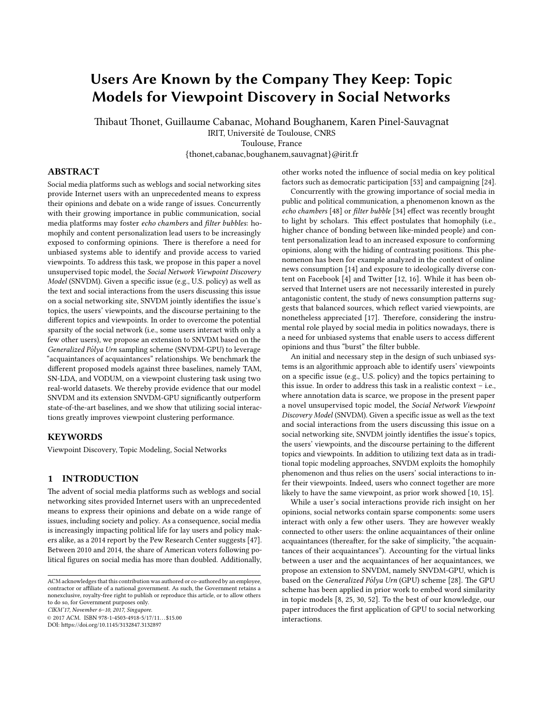# Users Are Known by the Company They Keep: Topic Models for Viewpoint Discovery in Social Networks

Thibaut Thonet, Guillaume Cabanac, Mohand Boughanem, Karen Pinel-Sauvagnat IRIT, Université de Toulouse, CNRS

Toulouse, France

{thonet,cabanac,boughanem,sauvagnat}@irit.fr

## ABSTRACT

Social media platforms such as weblogs and social networking sites provide Internet users with an unprecedented means to express their opinions and debate on a wide range of issues. Concurrently with their growing importance in public communication, social media platforms may foster echo chambers and filter bubbles: homophily and content personalization lead users to be increasingly exposed to conforming opinions. There is therefore a need for unbiased systems able to identify and provide access to varied viewpoints. To address this task, we propose in this paper a novel unsupervised topic model, the Social Network Viewpoint Discovery Model (SNVDM). Given a specific issue (e.g., U.S. policy) as well as the text and social interactions from the users discussing this issue on a social networking site, SNVDM jointly identifies the issue's topics, the users' viewpoints, and the discourse pertaining to the different topics and viewpoints. In order to overcome the potential sparsity of the social network (i.e., some users interact with only a few other users), we propose an extension to SNVDM based on the Generalized Pólya Urn sampling scheme (SNVDM-GPU) to leverage "acquaintances of acquaintances" relationships. We benchmark the different proposed models against three baselines, namely TAM, SN-LDA, and VODUM, on a viewpoint clustering task using two real-world datasets. We thereby provide evidence that our model SNVDM and its extension SNVDM-GPU significantly outperform state-of-the-art baselines, and we show that utilizing social interactions greatly improves viewpoint clustering performance.

#### **KEYWORDS**

Viewpoint Discovery, Topic Modeling, Social Networks

## 1 INTRODUCTION

The advent of social media platforms such as weblogs and social networking sites provided Internet users with an unprecedented means to express their opinions and debate on a wide range of issues, including society and policy. As a consequence, social media is increasingly impacting political life for lay users and policy makers alike, as a 2014 report by the Pew Research Center suggests [\[47\]](#page-10-0). Between 2010 and 2014, the share of American voters following political figures on social media has more than doubled. Additionally,

CIKM'17, November 6–10, 2017, Singapore.

© 2017 ACM. ISBN 978-1-4503-4918-5/17/11. . . \$15.00

DOI: https://doi.org/10.1145/3132847.3132897

other works noted the influence of social media on key political factors such as democratic participation [\[53\]](#page-10-1) and campaigning [\[24\]](#page-10-2).

Concurrently with the growing importance of social media in public and political communication, a phenomenon known as the echo chambers [\[48\]](#page-10-3) or filter bubble [\[34\]](#page-10-4) effect was recently brought to light by scholars. This effect postulates that homophily (i.e., higher chance of bonding between like-minded people) and content personalization lead to an increased exposure to conforming opinions, along with the hiding of contrasting positions. This phenomenon has been for example analyzed in the context of online news consumption [\[14\]](#page-10-5) and exposure to ideologically diverse con-tent on Facebook [\[4\]](#page-10-6) and Twitter [\[12,](#page-10-7) [16\]](#page-10-8). While it has been observed that Internet users are not necessarily interested in purely antagonistic content, the study of news consumption patterns suggests that balanced sources, which reflect varied viewpoints, are nonetheless appreciated [\[17\]](#page-10-9). Therefore, considering the instrumental role played by social media in politics nowadays, there is a need for unbiased systems that enable users to access different opinions and thus "burst" the filter bubble.

An initial and necessary step in the design of such unbiased systems is an algorithmic approach able to identify users' viewpoints on a specific issue (e.g., U.S. policy) and the topics pertaining to this issue. In order to address this task in a realistic context – i.e., where annotation data is scarce, we propose in the present paper a novel unsupervised topic model, the Social Network Viewpoint Discovery Model (SNVDM). Given a specific issue as well as the text and social interactions from the users discussing this issue on a social networking site, SNVDM jointly identifies the issue's topics, the users' viewpoints, and the discourse pertaining to the different topics and viewpoints. In addition to utilizing text data as in traditional topic modeling approaches, SNVDM exploits the homophily phenomenon and thus relies on the users' social interactions to infer their viewpoints. Indeed, users who connect together are more likely to have the same viewpoint, as prior work showed [\[10,](#page-10-10) [15\]](#page-10-11).

While a user's social interactions provide rich insight on her opinions, social networks contain sparse components: some users interact with only a few other users. They are however weakly connected to other users: the online acquaintances of their online acquaintances (thereafter, for the sake of simplicity, "the acquaintances of their acquaintances"). Accounting for the virtual links between a user and the acquaintances of her acquaintances, we propose an extension to SNVDM, namely SNVDM-GPU, which is based on the Generalized Pólya Urn (GPU) scheme [\[28\]](#page-10-12). The GPU scheme has been applied in prior work to embed word similarity in topic models [\[8,](#page-10-13) [25,](#page-10-14) [30,](#page-10-15) [52\]](#page-10-16). To the best of our knowledge, our paper introduces the first application of GPU to social networking interactions.

ACM acknowledges that this contribution was authored or co-authored by an employee, contractor or affiliate of a national government. As such, the Government retains a nonexclusive, royalty-free right to publish or reproduce this article, or to allow others to do so, for Government purposes only.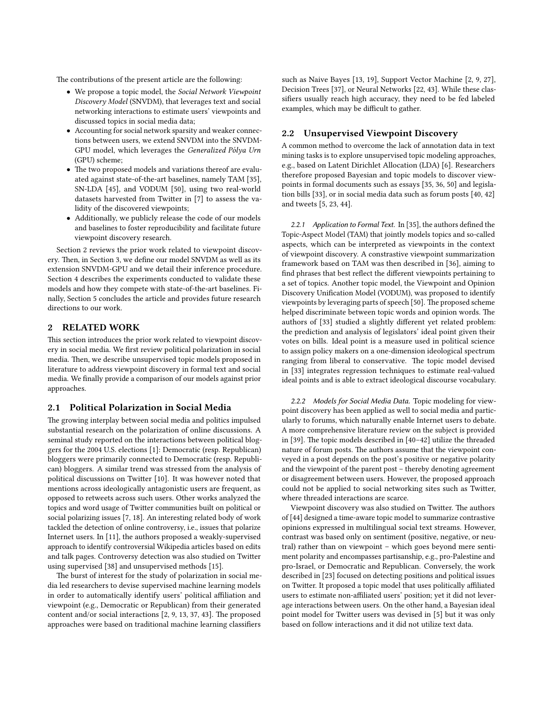The contributions of the present article are the following:

- We propose a topic model, the Social Network Viewpoint Discovery Model (SNVDM), that leverages text and social networking interactions to estimate users' viewpoints and discussed topics in social media data;
- Accounting for social network sparsity and weaker connections between users, we extend SNVDM into the SNVDM-GPU model, which leverages the Generalized Pólya Urn (GPU) scheme;
- The two proposed models and variations thereof are evaluated against state-of-the-art baselines, namely TAM [\[35\]](#page-10-17), SN-LDA [\[45\]](#page-10-18), and VODUM [\[50\]](#page-10-19), using two real-world datasets harvested from Twitter in [\[7\]](#page-10-20) to assess the validity of the discovered viewpoints;
- Additionally, we publicly release the code of our models and baselines to foster reproducibility and facilitate future viewpoint discovery research.

Section [2](#page-2-0) reviews the prior work related to viewpoint discov-ery. Then, in Section [3,](#page-3-0) we define our model SNVDM as well as its extension SNVDM-GPU and we detail their inference procedure. Section [4](#page-6-0) describes the experiments conducted to validate these models and how they compete with state-of-the-art baselines. Finally, Section [5](#page-9-0) concludes the article and provides future research directions to our work.

## <span id="page-2-0"></span>2 RELATED WORK

This section introduces the prior work related to viewpoint discovery in social media. We first review political polarization in social media. Then, we describe unsupervised topic models proposed in literature to address viewpoint discovery in formal text and social media. We finally provide a comparison of our models against prior approaches.

#### 2.1 Political Polarization in Social Media

The growing interplay between social media and politics impulsed substantial research on the polarization of online discussions. A seminal study reported on the interactions between political bloggers for the 2004 U.S. elections [\[1\]](#page-10-21): Democratic (resp. Republican) bloggers were primarily connected to Democratic (resp. Republican) bloggers. A similar trend was stressed from the analysis of political discussions on Twitter [\[10\]](#page-10-10). It was however noted that mentions across ideologically antagonistic users are frequent, as opposed to retweets across such users. Other works analyzed the topics and word usage of Twitter communities built on political or social polarizing issues [\[7,](#page-10-20) [18\]](#page-10-22). An interesting related body of work tackled the detection of online controversy, i.e., issues that polarize Internet users. In [\[11\]](#page-10-23), the authors proposed a weakly-supervised approach to identify controversial Wikipedia articles based on edits and talk pages. Controversy detection was also studied on Twitter using supervised [\[38\]](#page-10-24) and unsupervised methods [\[15\]](#page-10-11).

The burst of interest for the study of polarization in social media led researchers to devise supervised machine learning models in order to automatically identify users' political affiliation and viewpoint (e.g., Democratic or Republican) from their generated content and/or social interactions  $[2, 9, 13, 37, 43]$  $[2, 9, 13, 37, 43]$  $[2, 9, 13, 37, 43]$  $[2, 9, 13, 37, 43]$  $[2, 9, 13, 37, 43]$  $[2, 9, 13, 37, 43]$  $[2, 9, 13, 37, 43]$  $[2, 9, 13, 37, 43]$ . The proposed approaches were based on traditional machine learning classifiers

such as Naive Bayes [\[13,](#page-10-27) [19\]](#page-10-30), Support Vector Machine [\[2,](#page-10-25) [9,](#page-10-26) [27\]](#page-10-31), Decision Trees [\[37\]](#page-10-28), or Neural Networks [\[22,](#page-10-32) [43\]](#page-10-29). While these classifiers usually reach high accuracy, they need to be fed labeled examples, which may be difficult to gather.

#### <span id="page-2-1"></span>2.2 Unsupervised Viewpoint Discovery

A common method to overcome the lack of annotation data in text mining tasks is to explore unsupervised topic modeling approaches, e.g., based on Latent Dirichlet Allocation (LDA) [\[6\]](#page-10-33). Researchers therefore proposed Bayesian and topic models to discover viewpoints in formal documents such as essays [\[35,](#page-10-17) [36,](#page-10-34) [50\]](#page-10-19) and legislation bills [\[33\]](#page-10-35), or in social media data such as forum posts [\[40,](#page-10-36) [42\]](#page-10-37) and tweets [\[5,](#page-10-38) [23,](#page-10-39) [44\]](#page-10-40).

2.2.1 Application to Formal Text. In [\[35\]](#page-10-17), the authors defined the Topic-Aspect Model (TAM) that jointly models topics and so-called aspects, which can be interpreted as viewpoints in the context of viewpoint discovery. A constrastive viewpoint summarization framework based on TAM was then described in [\[36\]](#page-10-34), aiming to find phrases that best reflect the different viewpoints pertaining to a set of topics. Another topic model, the Viewpoint and Opinion Discovery Unification Model (VODUM), was proposed to identify viewpoints by leveraging parts of speech [\[50\]](#page-10-19). The proposed scheme helped discriminate between topic words and opinion words. The authors of [\[33\]](#page-10-35) studied a slightly different yet related problem: the prediction and analysis of legislators' ideal point given their votes on bills. Ideal point is a measure used in political science to assign policy makers on a one-dimension ideological spectrum ranging from liberal to conservative. The topic model devised in [\[33\]](#page-10-35) integrates regression techniques to estimate real-valued ideal points and is able to extract ideological discourse vocabulary.

2.2.2 Models for Social Media Data. Topic modeling for viewpoint discovery has been applied as well to social media and particularly to forums, which naturally enable Internet users to debate. A more comprehensive literature review on the subject is provided in [\[39\]](#page-10-41). The topic models described in  $[40-42]$  $[40-42]$  utilize the threaded nature of forum posts. The authors assume that the viewpoint conveyed in a post depends on the post's positive or negative polarity and the viewpoint of the parent post – thereby denoting agreement or disagreement between users. However, the proposed approach could not be applied to social networking sites such as Twitter, where threaded interactions are scarce.

Viewpoint discovery was also studied on Twitter. The authors of [\[44\]](#page-10-40) designed a time-aware topic model to summarize contrastive opinions expressed in multilingual social text streams. However, contrast was based only on sentiment (positive, negative, or neutral) rather than on viewpoint – which goes beyond mere sentiment polarity and encompasses partisanship, e.g., pro-Palestine and pro-Israel, or Democratic and Republican. Conversely, the work described in [\[23\]](#page-10-39) focused on detecting positions and political issues on Twitter. It proposed a topic model that uses politically affiliated users to estimate non-affiliated users' position; yet it did not leverage interactions between users. On the other hand, a Bayesian ideal point model for Twitter users was devised in [\[5\]](#page-10-38) but it was only based on follow interactions and it did not utilize text data.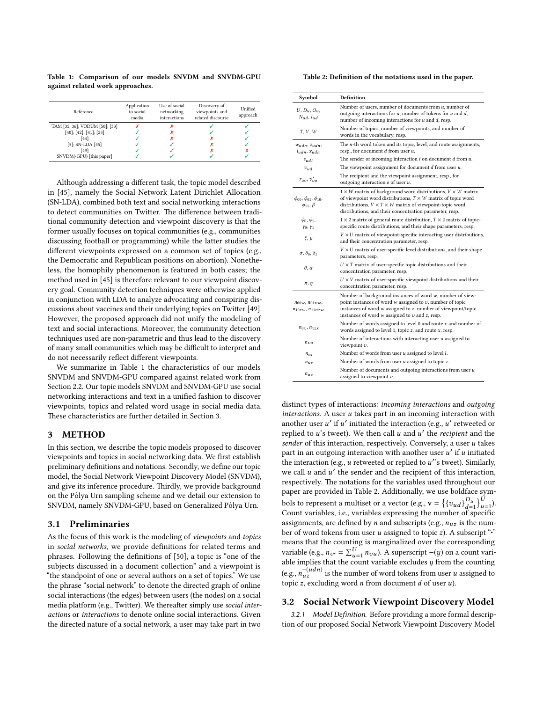<span id="page-3-1"></span>Table 1: Comparison of our models SNVDM and SNVDM-GPU against related work approaches.

| Reference                      | Application<br>to social<br>media | Use of social<br>networking<br>interactions | Discovery of<br>viewpoints and<br>related discourse | Unified<br>approach |  |
|--------------------------------|-----------------------------------|---------------------------------------------|-----------------------------------------------------|---------------------|--|
| TAM [35, 36]; VODUM [50]; [33] |                                   |                                             |                                                     |                     |  |
| [40]; [42]; [41]; [23]         |                                   |                                             |                                                     |                     |  |
| [44]                           |                                   |                                             |                                                     |                     |  |
| $[5]$ ; SN-LDA $[45]$          |                                   |                                             |                                                     |                     |  |
| [49]                           |                                   |                                             |                                                     |                     |  |
| SNVDM(-GPU) [this paper]       |                                   |                                             |                                                     |                     |  |

Although addressing a different task, the topic model described in [\[45\]](#page-10-18), namely the Social Network Latent Dirichlet Allocation (SN-LDA), combined both text and social networking interactions to detect communities on Twitter. The difference between traditional community detection and viewpoint discovery is that the former usually focuses on topical communities (e.g., communities discussing football or programming) while the latter studies the different viewpoints expressed on a common set of topics (e.g., the Democratic and Republican positions on abortion). Nonetheless, the homophily phenomenon is featured in both cases; the method used in [\[45\]](#page-10-18) is therefore relevant to our viewpoint discovery goal. Community detection techniques were otherwise applied in conjunction with LDA to analyze advocating and conspiring dis-cussions about vaccines and their underlying topics on Twitter [\[49\]](#page-10-43). However, the proposed approach did not unify the modeling of text and social interactions. Moreover, the community detection techniques used are non-parametric and thus lead to the discovery of many small communities which may be difficult to interpret and do not necessarily reflect different viewpoints.

We summarize in Table [1](#page-3-1) the characteristics of our models SNVDM and SNVDM-GPU compared against related work from Section [2.2.](#page-2-1) Our topic models SNVDM and SNVDM-GPU use social networking interactions and text in a unified fashion to discover viewpoints, topics and related word usage in social media data. These characteristics are further detailed in Section [3.](#page-3-0)

#### <span id="page-3-0"></span>3 METHOD

In this section, we describe the topic models proposed to discover viewpoints and topics in social networking data. We first establish preliminary definitions and notations. Secondly, we define our topic model, the Social Network Viewpoint Discovery Model (SNVDM), and give its inference procedure. Thirdly, we provide background on the Pólya Urn sampling scheme and we detail our extension to SNVDM, namely SNVDM-GPU, based on Generalized Pólya Urn.

#### 3.1 Preliminaries

As the focus of this work is the modeling of viewpoints and topics in social networks, we provide definitions for related terms and phrases. Following the definitions of [\[50\]](#page-10-19), a topic is "one of the subjects discussed in a document collection" and a viewpoint is "the standpoint of one or several authors on a set of topics." We use the phrase "social network" to denote the directed graph of online social interactions (the edges) between users (the nodes) on a social media platform (e.g., Twitter). We thereafter simply use social interactions or interactions to denote online social interactions. Given the directed nature of a social network, a user may take part in two

<span id="page-3-2"></span>Table 2: Definition of the notations used in the paper.

| Symbol                                                   | <b>Definition</b>                                                                                                                                                                                                                                                                 |
|----------------------------------------------------------|-----------------------------------------------------------------------------------------------------------------------------------------------------------------------------------------------------------------------------------------------------------------------------------|
| $U, D_u, O_u,$<br>$N_{ud}$ , $I_{ud}$                    | Number of users, number of documents from $u$ , number of<br>outgoing interactions for $u$ , number of tokens for $u$ and $d$ ,<br>number of incoming interactions for $u$ and $d$ , resp.                                                                                        |
| T, V, W                                                  | Number of topics, number of viewpoints, and number of<br>words in the vocabulary, resp.                                                                                                                                                                                           |
| $W_{udn}, Z_{udn},$<br>$l_{udn}, x_{udn}$                | The n-th word token and its topic, level, and route assignments,<br>resp., for document d from user u.                                                                                                                                                                            |
| $s_{udi}$                                                | The sender of incoming interaction $i$ on document $d$ from $u$ .                                                                                                                                                                                                                 |
| $v_{ud}$                                                 | The viewpoint assignment for document $d$ from user $u$ .                                                                                                                                                                                                                         |
| $r_{uo}, v'_{uo}$                                        | The recipient and the viewpoint assignment, resp., for<br>outgoing interaction $o$ of user $u$ .                                                                                                                                                                                  |
| $\phi_{00}, \phi_{01}, \phi_{10},$<br>$\phi_{11}, \beta$ | $1 \times W$ matrix of background word distributions, $V \times W$ matrix<br>of viewpoint word distributions, $T \times W$ matrix of topic word<br>distributions, $V \times T \times W$ matrix of viewpoint-topic word<br>distributions, and their concentration parameter, resp. |
| $\psi_0, \psi_1,$<br>$Y_0, Y_1$                          | $1 \times 2$ matrix of general route distribution, $T \times 2$ matrix of topic-<br>specific route distributions, and their shape parameters, resp.                                                                                                                               |
| $\xi$ , $\mu$                                            | $V \times U$ matrix of viewpoint-specific interacting user distributions,<br>and their concentration parameter, resp.                                                                                                                                                             |
| $\sigma$ , $\delta_0$ , $\delta_1$                       | $V \times U$ matrix of user-specific level distributions, and their shape<br>parameters, resp.                                                                                                                                                                                    |
| $\theta$ , $\alpha$                                      | $U \times T$ matrix of user-specific topic distributions and their<br>concentration parameter, resp.                                                                                                                                                                              |
| $\pi$ , $\eta$                                           | $U \times V$ matrix of user-specific viewpoint distributions and their<br>concentration parameter, resp.                                                                                                                                                                          |
| $n_{00w}, n_{01vw},$<br>$n_{10zw}, n_{11vzw}$            | Number of background instances of word w, number of view-<br>point instances of word $w$ assigned to $v$ , number of topic<br>instances of word w assigned to z, number of viewpoint/topic<br>instances of word $w$ assigned to $v$ and $z$ , resp.                               |
| $n_{0x}$ , $n_{1zx}$                                     | Number of words assigned to level $0$ and route $x$ and number of<br>words assigned to level 1, topic $z$ , and route $x$ , resp.                                                                                                                                                 |
| $n_{22}$                                                 | Number of interactions with interacting user $u$ assigned to<br>viewpoint v.                                                                                                                                                                                                      |
| $n_{ul}$                                                 | Number of words from user u assigned to level l.                                                                                                                                                                                                                                  |
| $n_{uz}$                                                 | Number of words from user $u$ assigned to topic $z$ .                                                                                                                                                                                                                             |
| $n_{uv}$                                                 | Number of documents and outgoing interactions from user $u$<br>assigned to viewpoint $v$ .                                                                                                                                                                                        |

distinct types of interactions: incoming interactions and outgoing  $interactions. A user  $u$  takes part in an incoming interaction with$ another user  $u'$  if  $u'$  initiated the interaction (e.g.,  $u'$  retweeted or replied to  $u$ 's tweet). We then call  $u$  and  $u'$  the *recipient* and the sender of this interaction, respectively. Conversely, a user  $u$  takes part in an outgoing interaction with another user  $u'$  if  $u$  initiated the interaction (e.g.,  $u$  retweeted or replied to  $u$ ''s tweet). Similarly, we call  $u$  and  $u'$  the sender and the recipient of this interaction, respectively. The notations for the variables used throughout our paper are provided in Table [2.](#page-3-2) Additionally, we use boldface symbols to represent a multiset or a vector (e.g.,  $\mathbf{v} = \left\{ \left\{ v_{ud} \right\}_{d=1}^{D_u} \right\}_{u=1}^{U}$ ). Count variables, i.e., variables expressing the number of specific assignments, are defined by *n* and subscripts (e.g.,  $n_{uz}$  is the number of word tokens from user  $u$  assigned to topic  $z$ ). A subscript " $\cdot$ " means that the counting is marginalized over the corresponding variable (e.g.,  $n_v = \sum_{u=1}^{U} n_{vu}$ ). A superscript  $-(y)$  on a count variable implies that the count variable excludes  $y$  from the counting (e.g.,  $n_{uz}^{-(udn)}$  is the number of word tokens from user  $u$  assigned to topic  $z$ , excluding word  $n$  from document  $d$  of user  $u$ ).

#### <span id="page-3-3"></span>3.2 Social Network Viewpoint Discovery Model

<span id="page-3-4"></span>3.2.1 Model Definition. Before providing a more formal description of our proposed Social Network Viewpoint Discovery Model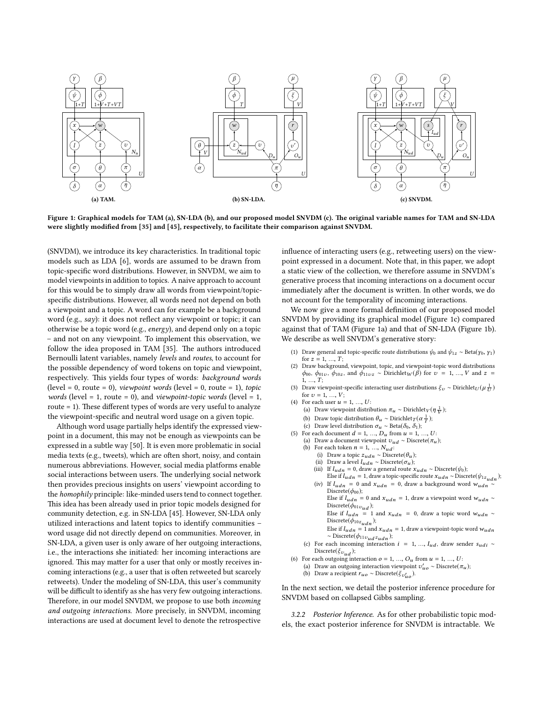<span id="page-4-0"></span>

Figure 1: Graphical models for TAM (a), SN-LDA (b), and our proposed model SNVDM (c). The original variable names for TAM and SN-LDA were slightly modified from [\[35\]](#page-10-17) and [\[45\]](#page-10-18), respectively, to facilitate their comparison against SNVDM.

(SNVDM), we introduce its key characteristics. In traditional topic models such as LDA [\[6\]](#page-10-33), words are assumed to be drawn from topic-specific word distributions. However, in SNVDM, we aim to model viewpoints in addition to topics. A naive approach to account for this would be to simply draw all words from viewpoint/topicspecific distributions. However, all words need not depend on both a viewpoint and a topic. A word can for example be a background word (e.g., say): it does not reflect any viewpoint or topic; it can otherwise be a topic word (e.g., energy), and depend only on a topic – and not on any viewpoint. To implement this observation, we follow the idea proposed in TAM [\[35\]](#page-10-17). The authors introduced Bernoulli latent variables, namely levels and routes, to account for the possible dependency of word tokens on topic and viewpoint, respectively. This yields four types of words: background words (level = 0, route = 0), *viewpoint words* (level = 0, route = 1), *topic words* (level = 1, route = 0), and *viewpoint-topic words* (level = 1, route  $= 1$ ). These different types of words are very useful to analyze the viewpoint-specific and neutral word usage on a given topic.

Although word usage partially helps identify the expressed viewpoint in a document, this may not be enough as viewpoints can be expressed in a subtle way [\[50\]](#page-10-19). It is even more problematic in social media texts (e.g., tweets), which are often short, noisy, and contain numerous abbreviations. However, social media platforms enable social interactions between users. The underlying social network then provides precious insights on users' viewpoint according to the homophily principle: like-minded users tend to connect together. This idea has been already used in prior topic models designed for community detection, e.g. in SN-LDA [\[45\]](#page-10-18). However, SN-LDA only utilized interactions and latent topics to identify communities – word usage did not directly depend on communities. Moreover, in SN-LDA, a given user is only aware of her outgoing interactions, i.e., the interactions she initiated: her incoming interactions are ignored. This may matter for a user that only or mostly receives incoming interactions (e.g., a user that is often retweeted but scarcely retweets). Under the modeling of SN-LDA, this user's community will be difficult to identify as she has very few outgoing interactions. Therefore, in our model SNVDM, we propose to use both *incoming* and outgoing interactions. More precisely, in SNVDM, incoming interactions are used at document level to denote the retrospective

influence of interacting users (e.g., retweeting users) on the viewpoint expressed in a document. Note that, in this paper, we adopt a static view of the collection, we therefore assume in SNVDM's generative process that incoming interactions on a document occur immediately after the document is written. In other words, we do not account for the temporality of incoming interactions.

We now give a more formal definition of our proposed model SNVDM by providing its graphical model (Figure [1c\)](#page-4-0) compared against that of TAM (Figure [1a\)](#page-4-0) and that of SN-LDA (Figure [1b\)](#page-4-0). We describe as well SNVDM's generative story:

- (1) Draw general and topic-specific route distributions  $\psi_0$  and  $\psi_{1z} \sim \text{Beta}(y_0, y_1)$ for  $z = 1, ..., T$ :
- (2) Draw background, viewpoint, topic, and viewpoint-topic word distributions  $\phi_{00}$ ,  $\phi_{01v}$ ,  $\phi_{10z}$ , and  $\phi_{11vz}$  ~ Dirichlet<sub>*W*</sub>( $\beta$ ) for  $v = 1, ..., V$  and  $z =$  $1, ..., T;$
- (3) Draw viewpoint-specific interacting user distributions  $\xi_v \sim$  Dirichlet<br> $U(\mu \frac{1}{U})$ for  $v = 1, ..., V$ ;
- (4) For each user  $u = 1, ..., U$ :
	- (a) Draw viewpoint distribution  $\pi_u \sim \text{Dirichlet}_V(\eta \frac{1}{V});$
	- (b) Draw topic distribution  $\theta_u \sim \text{Dirichlet}_{T}(\alpha \frac{1}{T});$
	- (c) Draw level distribution  $\sigma_u \sim \text{Beta}(\delta_0, \delta_1)$ ;
- (5) For each document  $d = 1, ..., D_u$  from  $u = 1, ..., U$ :
	- (a) Draw a document viewpoint  $v_{ud} \sim \text{Discrete}(\pi_u)$ ;
	- (b) For each token  $n = 1, \ldots, N_{ud}$ :
		- (i) Draw a topic  $z_{udn} \sim \text{Discrete}(\theta_u)$ ;<br>(ii) Draw a level  $l_{udn} \sim \text{Discrete}(\sigma_u)$ ;
		-
		- (iii) If  $l_{udn} = 0$ , draw a general route  $x_{udn} \sim \text{Discrete}(\psi_0)$ ;
		- Else if  $l_{udn} = 1$ , draw a topic-specific route  $x_{udn} \sim \text{Discrete}(\psi_{1z_{udn}})$ ; (iv) If  $l_{udn} = 0$  and  $x_{udn} = 0$ , draw a background word  $w_{udn}$ Discrete( $\phi_{00}$ );
			- Else if  $l_{udn} = 0$  and  $x_{udn} = 1$ , draw a viewpoint word  $w_{udn} \sim$ Discrete( $\phi_{01v_{ud}}$ );
			- Else if  $l_{udn}$  = 1 and  $x_{udn}$  = 0, draw a topic word w<sub>udn</sub> ∼

Discrete( $\phi_{10z_{udn}}$ );

- Else if  $l_{udn} = 1$  and  $x_{udn} = 1$ , draw a viewpoint-topic word  $w_{udn}$  $~~\sim$  Discrete( $\phi_{11v_{ud}z_{udn}}$ );
- (c) For each incoming interaction  $i = 1, ..., I_{ud}$ , draw sender  $s_{udi} \sim$ Discrete( $\xi_{v_{ud}}$ );
- (6) For each outgoing interaction  $o = 1, ..., O_u$  from  $u = 1, ..., U$ :
- (a) Draw an outgoing interaction viewpoint  $v'_{uo} \sim \text{Discrete}(\pi_u)$ ;
	- (b) Draw a recipient  $r_{uo} \sim \text{Discrete}(\xi_{v'_{uo}})$ .

In the next section, we detail the posterior inference procedure for SNVDM based on collapsed Gibbs sampling.

<span id="page-4-1"></span>3.2.2 Posterior Inference. As for other probabilistic topic models, the exact posterior inference for SNVDM is intractable. We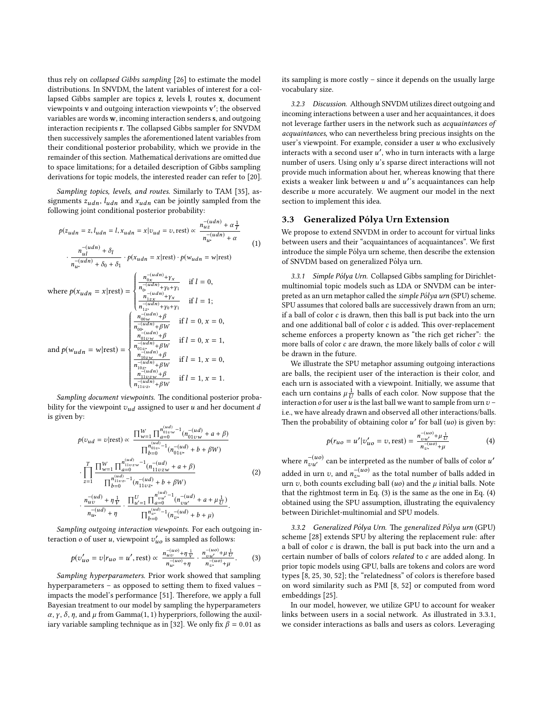thus rely on collapsed Gibbs sampling [\[26\]](#page-10-44) to estimate the model distributions. In SNVDM, the latent variables of interest for a collapsed Gibbs sampler are topics z, levels l, routes x, document viewpoints v and outgoing interaction viewpoints v ′ ; the observed variables are words w, incoming interaction senders s, and outgoing interaction recipients r. The collapsed Gibbs sampler for SNVDM then successively samples the aforementioned latent variables from their conditional posterior probability, which we provide in the remainder of this section. Mathematical derivations are omitted due to space limitations; for a detailed description of Gibbs sampling derivations for topic models, the interested reader can refer to [\[20\]](#page-10-45).

Sampling topics, levels, and routes. Similarly to TAM [\[35\]](#page-10-17), assignments  $z_{udn}$ ,  $l_{udn}$  and  $x_{udn}$  can be jointly sampled from the following joint conditional posterior probability:

$$
p(z_{udn} = z, l_{udn} = l, x_{udn} = x | v_{ud} = v, \text{rest}) \propto \frac{n_{uz}^{-(udn)} + \alpha \frac{1}{T}}{n_{uz}^{-(udn)} + \alpha}
$$
(1)  

$$
\frac{n_{ul}^{-(udn)} + \delta_l}{n_{uz}^{-(udn)} + \delta_0 + \delta_1} \cdot p(x_{udn} = x | \text{rest}) \cdot p(w_{udn} = w | \text{rest})
$$
(1)  

$$
\text{where } p(x_{udn} = x | \text{rest}) = \begin{cases} \frac{n_{0x}^{-(udn)} + \gamma_x}{n_{0x}^{-(udn)} + \gamma_0 + \gamma_1} & \text{if } l = 0, \\ \frac{n_{1zx}^{-(udn)} + \gamma_0 + \gamma_1}{n_{1zx}^{-(udn)} + \gamma_0 + \gamma_1} & \text{if } l = 1; \end{cases}
$$
  

$$
\text{and } p(w_{udn} = w | \text{rest}) = \begin{cases} \frac{n_{00w}^{-(udn)} + \beta}{n_{0z}^{-(udn)} + \beta w} & \text{if } l = 0, x = 0, \\ \frac{n_{01w}^{-(udn)} + \beta}{n_{1zz}^{-(udn)} + \beta w} & \text{if } l = 0, x = 1, \\ \frac{n_{10zx}^{-(udn)} + \beta}{n_{1zz}^{-(udn)} + \beta w} & \text{if } l = 1, x = 0, \\ \frac{n_{10zx}^{-(udn)} + \beta}{n_{11zz}^{-(udn)} + \beta w} & \text{if } l = 1, x = 1. \end{cases}
$$

Sampling document viewpoints. The conditional posterior probability for the viewpoint  $v_{ud}$  assigned to user u and her document d is given by:

<span id="page-5-3"></span>
$$
p(v_{ud} = v | \text{rest}) \propto \frac{\prod_{w=1}^{W} \prod_{a=0}^{n_{0\text{1}vw}^{(u,d)}} (n_{01vw}^{-(ud)} + a + \beta)}{\prod_{b=0}^{n_{01v}^{(u,d)}} (n_{01v}^{-(ud)} + b + \beta W)}
$$
  

$$
\cdot \prod_{z=1}^{T} \frac{\prod_{w=1}^{W} \prod_{a=0}^{n_{11vz}} (n_{11vz}^{-(ud)} + a + \beta)}{\prod_{b=0}^{n_{11vz}} (n_{11vz}^{-(ud)} + b + \beta W)}
$$
(2)  

$$
\cdot \frac{n_{uv}^{-(ud)} + \eta \frac{1}{V}}{n_{uv}^{-(ud)} + \eta} \cdot \frac{\prod_{u'=1}^{V} \prod_{a=0}^{n_{uu'}^{(u,d)}} (n_{vu'}^{-(ud)} + a + \mu \frac{1}{U})}{\prod_{b=0}^{n_{vv}^{(u,d)}} (n_{vv}^{-(ud)} + b + \mu)}
$$

Sampling outgoing interaction viewpoints. For each outgoing interaction *o* of user *u*, viewpoint  $v'_{uo}$  is sampled as follows:

<span id="page-5-0"></span>
$$
p(v'_{uo} = v | r_{uo} = u', \text{rest}) \propto \frac{n_{uv}^{-(uo)} + \eta \frac{1}{V}}{n_{uv}^{-(uo)} + \eta} \cdot \frac{n_{vu'}^{-(uo)} + \mu \frac{1}{U}}{n_{vv}^{-(uo)} + \mu}.
$$
 (3)

<span id="page-5-5"></span>Sampling hyperparameters. Prior work showed that sampling hyperparameters - as opposed to setting them to fixed values -impacts the model's performance [\[51\]](#page-10-46). Therefore, we apply a full Bayesian treatment to our model by sampling the hyperparameters  $\alpha$ ,  $\gamma$ ,  $\delta$ ,  $\eta$ , and  $\mu$  from Gamma(1, 1) hyperpriors, following the auxil-iary variable sampling technique as in [\[32\]](#page-10-47). We only fix  $\beta = 0.01$  as

its sampling is more costly – since it depends on the usually large vocabulary size.

3.2.3 Discussion. Although SNVDM utilizes direct outgoing and incoming interactions between a user and her acquaintances, it does not leverage farther users in the network such as acquaintances of acquaintances, who can nevertheless bring precious insights on the user's viewpoint. For example, consider a user  $u$  who exclusively interacts with a second user  $u'$ , who in turn interacts with a large number of users. Using only u's sparse direct interactions will not provide much information about her, whereas knowing that there exists a weaker link between  $u$  and  $u'$ 's acquaintances can help describe u more accurately. We augment our model in the next section to implement this idea.

#### <span id="page-5-4"></span>3.3 Generalized Pólya Urn Extension

We propose to extend SNVDM in order to account for virtual links between users and their "acquaintances of acquaintances". We first introduce the simple Pólya urn scheme, then describe the extension of SNVDM based on generalized Pólya urn.

<span id="page-5-2"></span>3.3.1 Simple Pólya Urn. Collapsed Gibbs sampling for Dirichletmultinomial topic models such as LDA or SNVDM can be interpreted as an urn metaphor called the simple Pólya urn (SPU) scheme. SPU assumes that colored balls are successively drawn from an urn; if a ball of color  $c$  is drawn, then this ball is put back into the urn and one additional ball of color  $c$  is added. This over-replacement scheme enforces a property known as "the rich get richer": the more balls of color c are drawn, the more likely balls of color c will be drawn in the future.

We illustrate the SPU metaphor assuming outgoing interactions are balls, the recipient user of the interaction is their color, and each urn is associated with a viewpoint. Initially, we assume that each urn contains  $\mu \frac{1}{U}$  balls of each color. Now suppose that the interaction  $o$  for user  $u$  is the last ball we want to sample from urn  $v$  – i.e., we have already drawn and observed all other interactions/balls. Then the probability of obtaining color  $u'$  for ball  $(uo)$  is given by:

<span id="page-5-1"></span>
$$
p(r_{uo} = u'|v'_{uo} = v, \text{rest}) = \frac{n_{vu'}^{-(uo)} + \mu \frac{1}{U}}{n_{v}^{-(uo)} + \mu} \tag{4}
$$

where  $n_{\nu u'}^{-(uo)}$  can be interpreted as the number of balls of color  $u'$ added in urn  $v$ , and  $n_{\upsilon}^{-(uo)}$  as the total number of balls added in urn  $v$ , both counts excluding ball  $(uo)$  and the  $\mu$  initial balls. Note that the rightmost term in Eq. [\(3\)](#page-5-0) is the same as the one in Eq. [\(4\)](#page-5-1) obtained using the SPU assumption, illustrating the equivalency between Dirichlet-multinomial and SPU models.

3.3.2 Generalized Pólya Urn. The generalized Pólya urn (GPU) scheme [\[28\]](#page-10-12) extends SPU by altering the replacement rule: after a ball of color c is drawn, the ball is put back into the urn and a certain number of balls of colors related to c are added along. In prior topic models using GPU, balls are tokens and colors are word types [\[8,](#page-10-13) [25,](#page-10-14) [30,](#page-10-15) [52\]](#page-10-16); the "relatedness" of colors is therefore based on word similarity such as PMI [\[8,](#page-10-13) [52\]](#page-10-16) or computed from word embeddings [\[25\]](#page-10-14).

In our model, however, we utilize GPU to account for weaker links between users in a social network. As illustrated in [3.3.1,](#page-5-2) we consider interactions as balls and users as colors. Leveraging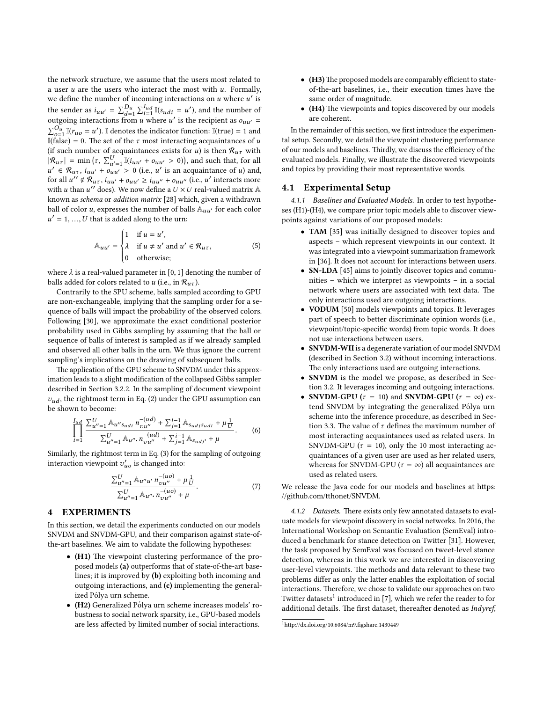the network structure, we assume that the users most related to a user  $u$  are the users who interact the most with  $u$ . Formally, we define the number of incoming interactions on  $u$  where  $u'$  is the sender as  $i_{uu'} = \sum_{d=1}^{D_u} \sum_{i=1}^{I_{ud}} \mathbb{I}(s_{udi} = u')$ , and the number of outgoing interactions from u where u' is the recipient as  $o_{uu'} =$  $\sum_{o=1}^{O_u} \mathbb{I}(r_{uo} = u')$ . I denotes the indicator function:  $\mathbb{I}(\text{true}) = 1$  and I(false) = 0. The set of the  $\tau$  most interacting acquaintances of u (if such number of acquaintances exists for  $u$ ) is then  $\mathcal{R}_{u\tau}$  with  $|\mathcal{R}_{u\tau}| = \min(\tau, \sum_{u'=1}^U \mathbb{I}(i_{uu'} + o_{uu'} > 0)),$  and such that, for all  $u' \in \mathcal{R}_{u\tau}$ ,  $i_{uu'} + o_{uu'} > 0$  (i.e., u' is an acquaintance of u) and, for all  $u'' \notin \mathcal{R}_{u\tau}$ ,  $i_{uu'} + o_{uu'} \ge i_{uu''} + o_{uu''}$  (i.e., u' interacts more with u than  $u''$  does). We now define a  $U \times U$  real-valued matrix  $\mathbb A$ known as schema or addition matrix [\[28\]](#page-10-12) which, given a withdrawn ball of color u, expresses the number of balls  $\mathbb{A}_{uu'}$  for each color  $u' = 1, ..., U$  that is added along to the urn:

$$
\mathbb{A}_{uu'} = \begin{cases} 1 & \text{if } u = u', \\ \lambda & \text{if } u \neq u' \text{ and } u' \in \mathcal{R}_{u\tau}, \\ 0 & \text{otherwise}; \end{cases}
$$
 (5)

where  $\lambda$  is a real-valued parameter in [0, 1] denoting the number of balls added for colors related to u (i.e., in  $\mathcal{R}_{u\tau}$ ).

Contrarily to the SPU scheme, balls sampled according to GPU are non-exchangeable, implying that the sampling order for a sequence of balls will impact the probability of the observed colors. Following [\[30\]](#page-10-15), we approximate the exact conditional posterior probability used in Gibbs sampling by assuming that the ball or sequence of balls of interest is sampled as if we already sampled and observed all other balls in the urn. We thus ignore the current sampling's implications on the drawing of subsequent balls.

The application of the GPU scheme to SNVDM under this approximation leads to a slight modification of the collapsed Gibbs sampler described in Section [3.2.2.](#page-4-1) In the sampling of document viewpoint  $v_{ud}$ , the rightmost term in Eq. [\(2\)](#page-5-3) under the GPU assumption can be shown to become:

$$
\prod_{i=1}^{I_{ud}} \frac{\sum_{u''=1}^{U} \mathbb{A}_{u''s_{udi}} n_{vu''}^{-(ud)} + \sum_{j=1}^{i-1} \mathbb{A}_{s_{udi}s_{udi}} + \mu \frac{1}{U}}{\sum_{u''=1}^{U} \mathbb{A}_{u''} n_{vu''}^{-(ud)} + \sum_{j=1}^{i-1} \mathbb{A}_{s_{udj}} + \mu}.
$$
 (6)

Similarly, the rightmost term in Eq. [\(3\)](#page-5-0) for the sampling of outgoing interaction viewpoint  $v'_{uo}$  is changed into:

$$
\frac{\sum_{u''=1}^{U} \mathbb{A}_{u''u'} n_{vu''}^{-(uo)} + \mu \frac{1}{U}}{\sum_{u''=1}^{U} \mathbb{A}_{u''} n_{vu''}^{-(uo)} + \mu}.
$$
\n(7)

#### <span id="page-6-0"></span>**EXPERIMENTS**

In this section, we detail the experiments conducted on our models SNVDM and SNVDM-GPU, and their comparison against state-ofthe-art baselines. We aim to validate the following hypotheses:

- (H1) The viewpoint clustering performance of the proposed models (a) outperforms that of state-of-the-art baselines; it is improved by (b) exploiting both incoming and outgoing interactions, and (c) implementing the generalized Pólya urn scheme.
- (H2) Generalized Pólya urn scheme increases models' robustness to social network sparsity, i.e., GPU-based models are less affected by limited number of social interactions.
- $\bullet$  (H3) The proposed models are comparably efficient to stateof-the-art baselines, i.e., their execution times have the same order of magnitude.
- $\bullet$  (H4) The viewpoints and topics discovered by our models are coherent.

In the remainder of this section, we first introduce the experimental setup. Secondly, we detail the viewpoint clustering performance of our models and baselines. Thirdly, we discuss the efficiency of the evaluated models. Finally, we illustrate the discovered viewpoints and topics by providing their most representative words.

#### 4.1 Experimental Setup

4.1.1 Baselines and Evaluated Models. In order to test hypotheses (H1)-(H4), we compare prior topic models able to discover viewpoints against variations of our proposed models:

- TAM [\[35\]](#page-10-17) was initially designed to discover topics and aspects – which represent viewpoints in our context. It was integrated into a viewpoint summarization framework in [\[36\]](#page-10-34). It does not account for interactions between users.
- **SN-LDA** [\[45\]](#page-10-18) aims to jointly discover topics and communities – which we interpret as viewpoints – in a social network where users are associated with text data. The only interactions used are outgoing interactions.
- VODUM [\[50\]](#page-10-19) models viewpoints and topics. It leverages part of speech to better discriminate opinion words (i.e., viewpoint/topic-specific words) from topic words. It does not use interactions between users.
- SNVDM-WII is a degenerate variation of our model SNVDM (described in Section [3.2\)](#page-3-3) without incoming interactions. The only interactions used are outgoing interactions.
- SNVDM is the model we propose, as described in Section [3.2.](#page-3-3) It leverages incoming and outgoing interactions.
- SNVDM-GPU ( $\tau = 10$ ) and SNVDM-GPU ( $\tau = \infty$ ) extend SNVDM by integrating the generalized Pólya urn scheme into the inference procedure, as described in Sec-tion [3.3.](#page-5-4) The value of  $\tau$  defines the maximum number of most interacting acquaintances used as related users. In SNVDM-GPU ( $\tau = 10$ ), only the 10 most interacting acquaintances of a given user are used as her related users, whereas for SNVDM-GPU ( $\tau = \infty$ ) all acquaintances are used as related users.

We release the Java code for our models and baselines at https: //github.com/tthonet/SNVDM.

4.1.2 Datasets. There exists only few annotated datasets to evaluate models for viewpoint discovery in social networks. In 2016, the International Workshop on Semantic Evaluation (SemEval) intro-duced a benchmark for stance detection on Twitter [\[31\]](#page-10-48). However, the task proposed by SemEval was focused on tweet-level stance detection, whereas in this work we are interested in discovering user-level viewpoints. The methods and data relevant to these two problems differ as only the latter enables the exploitation of social interactions. Therefore, we chose to validate our approaches on two Twitter datasets<sup>[1](#page-6-1)</sup> introduced in [\[7\]](#page-10-20), which we refer the reader to for additional details. The first dataset, thereafter denoted as Indyref,

<span id="page-6-1"></span> $1$ http://dx.doi.org/10.6084/m9.figshare.1430449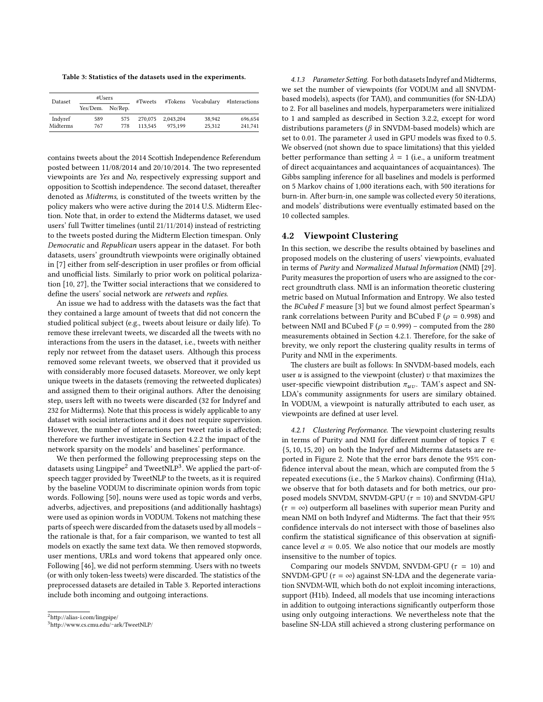<span id="page-7-2"></span>Table 3: Statistics of the datasets used in the experiments.

| Dataset  | #Users           |     | $*Tweets$ | #Tokens   | Vocabulary | #Interactions |
|----------|------------------|-----|-----------|-----------|------------|---------------|
|          | Yes/Dem. No/Rep. |     |           |           |            |               |
| Indyref  | 589              | 575 | 270,075   | 2.043.204 | 38.942     | 696.654       |
| Midterms | 767              | 778 | 113.545   | 975.199   | 25.312     | 241.741       |

contains tweets about the 2014 Scottish Independence Referendum posted between  $11/08/2014$  and  $20/10/2014$ . The two represented viewpoints are Yes and No, respectively expressing support and opposition to Scottish independence. The second dataset, thereafter denoted as Midterms, is constituted of the tweets written by the policy makers who were active during the 2014 U.S. Midterm Election. Note that, in order to extend the Midterms dataset, we used users' full Twitter timelines (until 21/11/2014) instead of restricting to the tweets posted during the Midterm Election timespan. Only Democratic and Republican users appear in the dataset. For both datasets, users' groundtruth viewpoints were originally obtained in [\[7\]](#page-10-20) either from self-description in user profiles or from official and unofficial lists. Similarly to prior work on political polariza-tion [\[10,](#page-10-10) [27\]](#page-10-31), the Twitter social interactions that we considered to define the users' social network are retweets and replies.

An issue we had to address with the datasets was the fact that they contained a large amount of tweets that did not concern the studied political subject (e.g., tweets about leisure or daily life). To remove these irrelevant tweets, we discarded all the tweets with no interactions from the users in the dataset, i.e., tweets with neither reply nor retweet from the dataset users. Although this process removed some relevant tweets, we observed that it provided us with considerably more focused datasets. Moreover, we only kept unique tweets in the datasets (removing the retweeted duplicates) and assigned them to their original authors. After the denoising step, users left with no tweets were discarded (32 for Indyref and 232 for Midterms). Note that this process is widely applicable to any dataset with social interactions and it does not require supervision. However, the number of interactions per tweet ratio is affected; therefore we further investigate in Section [4.2.2](#page-8-0) the impact of the network sparsity on the models' and baselines' performance.

We then performed the following preprocessing steps on the datasets using Lingpipe<sup>[2](#page-7-0)</sup> and Tweet $NLP^3$  $NLP^3$ . We applied the part-ofspeech tagger provided by TweetNLP to the tweets, as it is required by the baseline VODUM to discriminate opinion words from topic words. Following [\[50\]](#page-10-19), nouns were used as topic words and verbs, adverbs, adjectives, and prepositions (and additionally hashtags) were used as opinion words in VODUM. Tokens not matching these parts of speech were discarded from the datasets used by all models – the rationale is that, for a fair comparison, we wanted to test all models on exactly the same text data. We then removed stopwords, user mentions, URLs and word tokens that appeared only once. Following [\[46\]](#page-10-49), we did not perform stemming. Users with no tweets (or with only token-less tweets) were discarded. The statistics of the preprocessed datasets are detailed in Table [3.](#page-7-2) Reported interactions include both incoming and outgoing interactions.

4.1.3 Parameter Setting. For both datasets Indyref and Midterms, we set the number of viewpoints (for VODUM and all SNVDMbased models), aspects (for TAM), and communities (for SN-LDA) to 2. For all baselines and models, hyperparameters were initialized to 1 and sampled as described in Section [3.2.2,](#page-5-5) except for word distributions parameters ( $\beta$  in SNVDM-based models) which are set to 0.01. The parameter  $\lambda$  used in GPU models was fixed to 0.5. We observed (not shown due to space limitations) that this yielded better performance than setting  $\lambda = 1$  (i.e., a uniform treatment of direct acquaintances and acquaintances of acquaintances). The Gibbs sampling inference for all baselines and models is performed on 5 Markov chains of 1,000 iterations each, with 500 iterations for burn-in. After burn-in, one sample was collected every 50 iterations, and models' distributions were eventually estimated based on the 10 collected samples.

#### 4.2 Viewpoint Clustering

In this section, we describe the results obtained by baselines and proposed models on the clustering of users' viewpoints, evaluated in terms of Purity and Normalized Mutual Information (NMI) [\[29\]](#page-10-50). Purity measures the proportion of users who are assigned to the correct groundtruth class. NMI is an information theoretic clustering metric based on Mutual Information and Entropy. We also tested the BCubed F measure [\[3\]](#page-10-51) but we found almost perfect Spearman's rank correlations between Purity and BCubed F ( $\rho = 0.998$ ) and between NMI and BCubed F ( $\rho = 0.999$ ) – computed from the 280 measurements obtained in Section [4.2.1.](#page-7-3) Therefore, for the sake of brevity, we only report the clustering quality results in terms of Purity and NMI in the experiments.

The clusters are built as follows: In SNVDM-based models, each user  $u$  is assigned to the viewpoint (cluster)  $v$  that maximizes the user-specific viewpoint distribution  $\pi_{uv}$ . TAM's aspect and SN-LDA's community assignments for users are similary obtained. In VODUM, a viewpoint is naturally attributed to each user, as viewpoints are defined at user level.

<span id="page-7-3"></span>4.2.1 Clustering Performance. The viewpoint clustering results in terms of Purity and NMI for different number of topics  $T \in$ {5, 10, 15, 20} on both the Indyref and Midterms datasets are reported in Figure [2.](#page-9-1) Note that the error bars denote the 95% con fidence interval about the mean, which are computed from the 5 repeated executions (i.e., the 5 Markov chains). Confirming (H1a), we observe that for both datasets and for both metrics, our proposed models SNVDM, SNVDM-GPU ( $\tau = 10$ ) and SNVDM-GPU  $(\tau = \infty)$  outperform all baselines with superior mean Purity and mean NMI on both Indyref and Midterms. The fact that their 95% confidence intervals do not intersect with those of baselines also confirm the statistical significance of this observation at significance level  $\alpha$  = 0.05. We also notice that our models are mostly insensitive to the number of topics.

Comparing our models SNVDM, SNVDM-GPU ( $\tau = 10$ ) and SNVDM-GPU ( $\tau = \infty$ ) against SN-LDA and the degenerate variation SNVDM-WII, which both do not exploit incoming interactions, support (H1b). Indeed, all models that use incoming interactions in addition to outgoing interactions significantly outperform those using only outgoing interactions. We nevertheless note that the baseline SN-LDA still achieved a strong clustering performance on

<span id="page-7-0"></span> ${}^{2}$ http://alias-i.com/lingpipe/

<span id="page-7-1"></span><sup>3</sup>[hp://www.cs.cmu.edu/](http://www.cs.cmu.edu/~ark/TweetNLP/)∼ark/TweetNLP/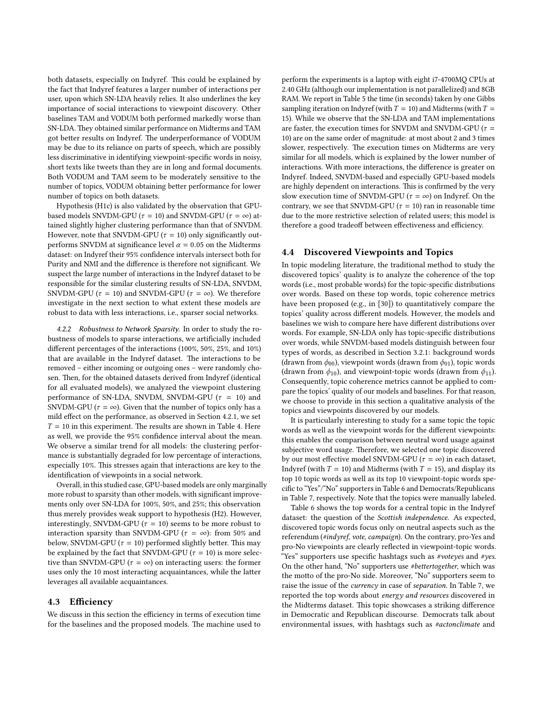both datasets, especially on Indyref. This could be explained by the fact that Indyref features a larger number of interactions per user, upon which SN-LDA heavily relies. It also underlines the key importance of social interactions to viewpoint discovery. Other baselines TAM and VODUM both performed markedly worse than SN-LDA. They obtained similar performance on Midterms and TAM got better results on Indyref. The underperformance of VODUM may be due to its reliance on parts of speech, which are possibly less discriminative in identifying viewpoint-specific words in noisy, short texts like tweets than they are in long and formal documents. Both VODUM and TAM seem to be moderately sensitive to the number of topics, VODUM obtaining better performance for lower number of topics on both datasets.

Hypothesis (H1c) is also validated by the observation that GPUbased models SNVDM-GPU ( $\tau = 10$ ) and SNVDM-GPU ( $\tau = \infty$ ) attained slightly higher clustering performance than that of SNVDM. However, note that SNVDM-GPU ( $\tau = 10$ ) only significantly outperforms SNVDM at significance level  $\alpha = 0.05$  on the Midterms dataset: on Indyref their 95% confidence intervals intersect both for Purity and NMI and the difference is therefore not significant. We suspect the large number of interactions in the Indyref dataset to be responsible for the similar clustering results of SN-LDA, SNVDM, SNVDM-GPU ( $\tau = 10$ ) and SNVDM-GPU ( $\tau = \infty$ ). We therefore investigate in the next section to what extent these models are robust to data with less interactions, i.e., sparser social networks.

<span id="page-8-0"></span>4.2.2 Robustness to Network Sparsity. In order to study the robustness of models to sparse interactions, we artificially included different percentages of the interactions  $(100\%, 50\%, 25\%, \text{ and } 10\%)$ that are available in the Indyref dataset. The interactions to be removed – either incoming or outgoing ones – were randomly chosen. Then, for the obtained datasets derived from Indyref (identical for all evaluated models), we analyzed the viewpoint clustering performance of SN-LDA, SNVDM, SNVDM-GPU ( $\tau = 10$ ) and SNVDM-GPU ( $\tau = \infty$ ). Given that the number of topics only has a mild effect on the performance, as observed in Section [4.2.1,](#page-7-3) we set  $T = 10$  in this experiment. The results are shown in Table [4.](#page-9-2) Here as well, we provide the 95% confidence interval about the mean. We observe a similar trend for all models: the clustering performance is substantially degraded for low percentage of interactions, especially 10%. This stresses again that interactions are key to the identification of viewpoints in a social network.

Overall, in this studied case, GPU-based models are only marginally more robust to sparsity than other models, with significant improvements only over SN-LDA for 100%, 50%, and 25%; this observation thus merely provides weak support to hypothesis (H2). However, interestingly, SNVDM-GPU ( $\tau = 10$ ) seems to be more robust to interaction sparsity than SNVDM-GPU ( $\tau = \infty$ ): from 50% and below, SNVDM-GPU ( $\tau = 10$ ) performed slightly better. This may be explained by the fact that SNVDM-GPU ( $\tau = 10$ ) is more selective than SNVDM-GPU ( $\tau = \infty$ ) on interacting users: the former uses only the 10 most interacting acquaintances, while the latter leverages all available acquaintances.

#### 4.3 Efficiency

We discuss in this section the efficiency in terms of execution time for the baselines and the proposed models. The machine used to perform the experiments is a laptop with eight i7-4700MQ CPUs at 2.40 GHz (although our implementation is not parallelized) and 8GB RAM. We report in Table [5](#page-9-3) the time (in seconds) taken by one Gibbs sampling iteration on Indyref (with  $T = 10$ ) and Midterms (with  $T =$ 15). While we observe that the SN-LDA and TAM implementations are faster, the execution times for SNVDM and SNVDM-GPU ( $\tau$  = 10) are on the same order of magnitude: at most about 2 and 3 times slower, respectively. The execution times on Midterms are very similar for all models, which is explained by the lower number of interactions. With more interactions, the difference is greater on Indyref. Indeed, SNVDM-based and especially GPU-based models are highly dependent on interactions. This is confirmed by the very slow execution time of SNVDM-GPU ( $\tau = \infty$ ) on Indyref. On the contrary, we see that SNVDM-GPU ( $\tau = 10$ ) ran in reasonable time due to the more restrictive selection of related users; this model is therefore a good tradeoff between effectiveness and efficiency.

#### 4.4 Discovered Viewpoints and Topics

In topic modeling literature, the traditional method to study the discovered topics' quality is to analyze the coherence of the top words (i.e., most probable words) for the topic-specific distributions over words. Based on these top words, topic coherence metrics have been proposed (e.g., in [\[30\]](#page-10-15)) to quantitatively compare the topics' quality across different models. However, the models and baselines we wish to compare here have different distributions over words. For example, SN-LDA only has topic-specific distributions over words, while SNVDM-based models distinguish between four types of words, as described in Section [3.2.1:](#page-3-4) background words (drawn from  $\phi_{00}$ ), viewpoint words (drawn from  $\phi_{01}$ ), topic words (drawn from  $\phi_{10}$ ), and viewpoint-topic words (drawn from  $\phi_{11}$ ). Consequently, topic coherence metrics cannot be applied to compare the topics' quality of our models and baselines. For that reason, we choose to provide in this section a qualitative analysis of the topics and viewpoints discovered by our models.

It is particularly interesting to study for a same topic the topic words as well as the viewpoint words for the different viewpoints: this enables the comparison between neutral word usage against subjective word usage. Therefore, we selected one topic discovered by our most effective model SNVDM-GPU ( $\tau = \infty$ ) in each dataset, Indyref (with  $T = 10$ ) and Midterms (with  $T = 15$ ), and display its top 10 topic words as well as its top 10 viewpoint-topic words spe-cific to "Yes"/"No" supporters in Table [6](#page-9-3) and Democrats/Republicans in Table [7,](#page-9-3) respectively. Note that the topics were manually labeled.

Table [6](#page-9-3) shows the top words for a central topic in the Indyref dataset: the question of the Scottish independence. As expected, discovered topic words focus only on neutral aspects such as the referendum (#indyref, vote, campaign). On the contrary, pro-Yes and pro-No viewpoints are clearly reflected in viewpoint-topic words. "Yes" supporters use specific hashtags such as #voteyes and #yes. On the other hand, "No" supporters use #bettertogether, which was the motto of the pro-No side. Moreover, "No" supporters seem to raise the issue of the currency in case of separation. In Table [7,](#page-9-3) we reported the top words about energy and resources discovered in the Midterms dataset. This topic showcases a striking difference in Democratic and Republican discourse. Democrats talk about environmental issues, with hashtags such as #actonclimate and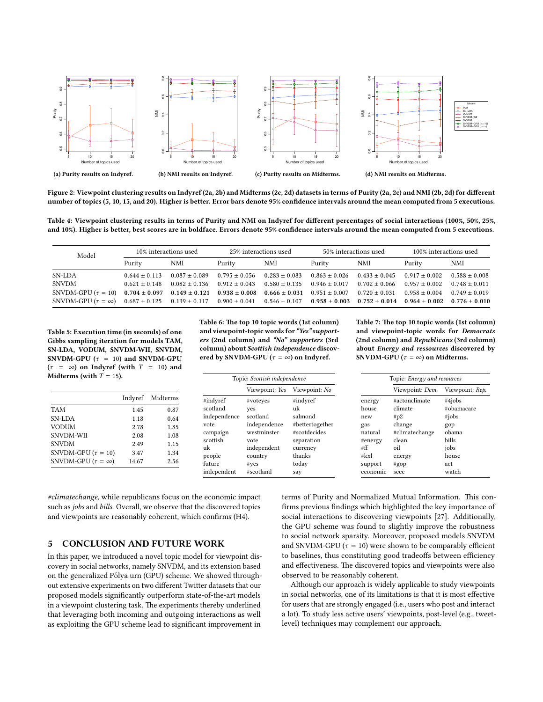<span id="page-9-1"></span>

Figure 2: Viewpoint clustering results on Indyref [\(2a, 2b\)](#page-9-1) and Midterms [\(2c, 2d\)](#page-9-1) datasets in terms of Purity [\(2a, 2c\)](#page-9-1) and NMI [\(2b, 2d\)](#page-9-1) for different number of topics (5, 10, 15, and 20). Higher is better. Error bars denote 95% condence intervals around the mean computed from 5 executions.

<span id="page-9-2"></span>Table 4: Viewpoint clustering results in terms of Purity and NMI on Indyref for different percentages of social interactions (100%, 50%, 25%, and 10%). Higher is better, best scores are in boldface. Errors denote 95% confidence intervals around the mean computed from 5 executions.

| Model                       | 10% interactions used |                   | 25% interactions used                                                                     |                   | 50% interactions used |                   | 100% interactions used              |                   |
|-----------------------------|-----------------------|-------------------|-------------------------------------------------------------------------------------------|-------------------|-----------------------|-------------------|-------------------------------------|-------------------|
|                             | Purity                | NMI               | Purity                                                                                    | NMI               | Purity                | <b>NMI</b>        | Purity                              | <b>NMI</b>        |
| SN-LDA                      | $0.644 \pm 0.113$     | $0.087 \pm 0.089$ | $0.795 \pm 0.056$                                                                         | $0.283 + 0.083$   | $0.863 \pm 0.026$     | $0.433 \pm 0.045$ | $0.917 \pm 0.002$                   | $0.588 + 0.008$   |
| <b>SNVDM</b>                | $0.621 \pm 0.148$     | $0.082 \pm 0.136$ | $0.912 \pm 0.043$                                                                         | $0.580 \pm 0.135$ | $0.946 \pm 0.017$     | $0.702 \pm 0.066$ | $0.957 + 0.002$                     | $0.748 \pm 0.011$ |
| SNVDM-GPU $(\tau = 10)$     |                       |                   | $0.704 \pm 0.097$ $0.149 \pm 0.121$ $0.938 \pm 0.008$ $0.666 \pm 0.031$ $0.951 \pm 0.007$ |                   |                       | $0.720 \pm 0.031$ | $0.958 + 0.004$                     | $0.749 \pm 0.019$ |
| SNVDM-GPU $(\tau = \infty)$ |                       |                   | $0.687 \pm 0.125$ $0.139 \pm 0.117$ $0.900 \pm 0.041$                                     | $0.546 \pm 0.107$ | $0.958 \pm 0.003$     | $0.752 \pm 0.014$ | $0.964 \pm 0.002$ $0.776 \pm 0.010$ |                   |

<span id="page-9-3"></span>Table 5: Execution time (in seconds) of one Gibbs sampling iteration for models TAM, SN-LDA, VODUM, SNVDM-WII, SNVDM, SNVDM-GPU ( $\tau = 10$ ) and SNVDM-GPU  $(\tau = \infty)$  on Indyref (with  $T = 10$ ) and Midterms (with  $T = 15$ ).

 $\overline{a}$ 

Table 6: The top 10 topic words (1st column) and viewpoint-topic words for "Yes" supporters (2nd column) and "No" supporters (3rd column) about Scottish independence discovered by SNVDM-GPU ( $\tau = \infty$ ) on Indyref.

Table 7: The top 10 topic words (1st column) and viewpoint-topic words for Democrats (2nd column) and Republicans (3rd column) about Energy and ressources discovered by SNVDM-GPU ( $\tau = \infty$ ) on Midterms.

| 1 I differms (with $T = 15$ ). |         |          | Topic: Scottish independence |                        |                    | Topic: Energy and resources |                 |                 |
|--------------------------------|---------|----------|------------------------------|------------------------|--------------------|-----------------------------|-----------------|-----------------|
|                                |         |          |                              | Viewpoint: Yes         | Viewpoint: No      |                             | Viewpoint: Dem. | Viewpoint: Rep. |
|                                | Indyref | Midterms | #indyref                     | #voteyes               | #indyref           | energy                      | #actonclimate   | #4jobs          |
| TAM                            | 1.45    | 0.87     | scotland                     | ves                    | uk                 | house                       | climate         | #obamacare      |
| SN-LDA                         | 1.18    | 0.64     | independence                 | scotland               | salmond            | new                         | #p2             | $\#iobs$        |
| VODUM                          | 2.78    | 1.85     | vote                         | independence           | #bettertogether    | gas                         | change          | gop             |
| SNVDM-WII                      | 2.08    | 1.08     | campaign                     | westminster            | #scotdecides       | natural                     | #climatechange  | obama           |
| SNVDM                          | 2.49    | 1.15     | scottish                     | vote                   | separation         | #energy                     | clean           | bills           |
| SNVDM-GPU ( $\tau = 10$ )      | 3.47    | 1.34     | uk<br>people                 | independent<br>country | currency<br>thanks | #ff<br>#kx1                 | oil             | jobs<br>house   |
| SNVDM-GPU $(\tau = \infty)$    | 14.67   | 2.56     | future                       | #ves                   | today              | support                     | energy<br>#gop  | act             |
|                                |         |          | independent                  | #scotland              | say                | economic                    | seec            | watch           |

#climatechange, while republicans focus on the economic impact such as jobs and bills. Overall, we observe that the discovered topics and viewpoints are reasonably coherent, which confirms (H4).

## <span id="page-9-0"></span>5 CONCLUSION AND FUTURE WORK

In this paper, we introduced a novel topic model for viewpoint discovery in social networks, namely SNVDM, and its extension based on the generalized Pólya urn (GPU) scheme. We showed throughout extensive experiments on two different Twitter datasets that our proposed models significantly outperform state-of-the-art models in a viewpoint clustering task. The experiments thereby underlined that leveraging both incoming and outgoing interactions as well as exploiting the GPU scheme lead to significant improvement in

terms of Purity and Normalized Mutual Information. This confirms previous findings which highlighted the key importance of social interactions to discovering viewpoints [\[27\]](#page-10-31). Additionally, the GPU scheme was found to slightly improve the robustness to social network sparsity. Moreover, proposed models SNVDM and SNVDM-GPU ( $\tau = 10$ ) were shown to be comparably efficient to baselines, thus constituting good tradeoffs between efficiency and effectiveness. The discovered topics and viewpoints were also observed to be reasonably coherent.

Although our approach is widely applicable to study viewpoints in social networks, one of its limitations is that it is most effective for users that are strongly engaged (i.e., users who post and interact a lot). To study less active users' viewpoints, post-level (e.g., tweetlevel) techniques may complement our approach.